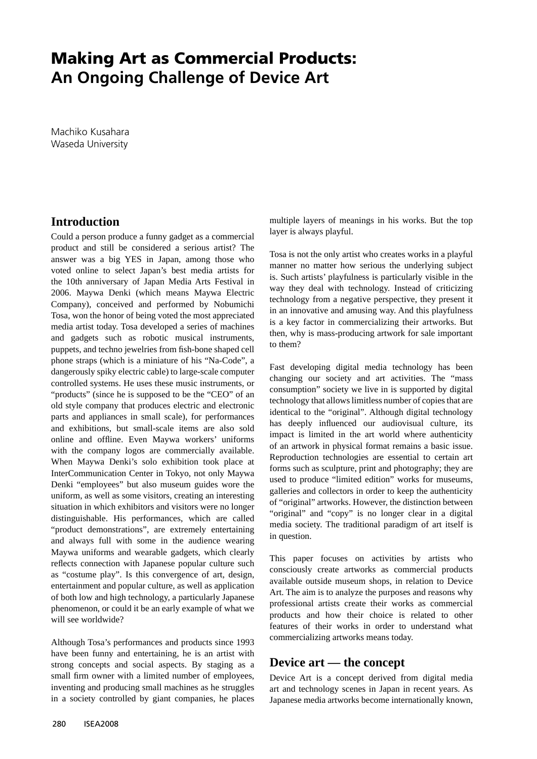## **Making Art as Commercial Products: An Ongoing Challenge of Device Art**

Machiko Kusahara Waseda University

## **Introduction**

Could a person produce a funny gadget as a commercial product and still be considered a serious artist? The answer was a big YES in Japan, among those who voted online to select Japan's best media artists for the 10th anniversary of Japan Media Arts Festival in 2006. Maywa Denki (which means Maywa Electric Company), conceived and performed by Nobumichi Tosa, won the honor of being voted the most appreciated media artist today. Tosa developed a series of machines and gadgets such as robotic musical instruments, puppets, and techno jewelries from fish-bone shaped cell phone straps (which is a miniature of his "Na-Code", a dangerously spiky electric cable) to large-scale computer controlled systems. He uses these music instruments, or "products" (since he is supposed to be the "CEO" of an old style company that produces electric and electronic parts and appliances in small scale), for performances and exhibitions, but small-scale items are also sold online and offline. Even Maywa workers' uniforms with the company logos are commercially available. When Maywa Denki's solo exhibition took place at InterCommunication Center in Tokyo, not only Maywa Denki "employees" but also museum guides wore the uniform, as well as some visitors, creating an interesting situation in which exhibitors and visitors were no longer distinguishable. His performances, which are called "product demonstrations", are extremely entertaining and always full with some in the audience wearing Maywa uniforms and wearable gadgets, which clearly reflects connection with Japanese popular culture such as "costume play". Is this convergence of art, design, entertainment and popular culture, as well as application of both low and high technology, a particularly Japanese phenomenon, or could it be an early example of what we will see worldwide?

Although Tosa's performances and products since 1993 have been funny and entertaining, he is an artist with strong concepts and social aspects. By staging as a small firm owner with a limited number of employees, inventing and producing small machines as he struggles in a society controlled by giant companies, he places

multiple layers of meanings in his works. But the top layer is always playful.

Tosa is not the only artist who creates works in a playful manner no matter how serious the underlying subject is. Such artists' playfulness is particularly visible in the way they deal with technology. Instead of criticizing technology from a negative perspective, they present it in an innovative and amusing way. And this playfulness is a key factor in commercializing their artworks. But then, why is mass-producing artwork for sale important to them?

Fast developing digital media technology has been changing our society and art activities. The "mass consumption" society we live in is supported by digital technology that allows limitless number of copies that are identical to the "original". Although digital technology has deeply influenced our audiovisual culture, its impact is limited in the art world where authenticity of an artwork in physical format remains a basic issue. Reproduction technologies are essential to certain art forms such as sculpture, print and photography; they are used to produce "limited edition" works for museums, galleries and collectors in order to keep the authenticity of "original" artworks. However, the distinction between "original" and "copy" is no longer clear in a digital media society. The traditional paradigm of art itself is in question.

This paper focuses on activities by artists who consciously create artworks as commercial products available outside museum shops, in relation to Device Art. The aim is to analyze the purposes and reasons why professional artists create their works as commercial products and how their choice is related to other features of their works in order to understand what commercializing artworks means today.

## **Device art — the concept**

Device Art is a concept derived from digital media art and technology scenes in Japan in recent years. As Japanese media artworks become internationally known,